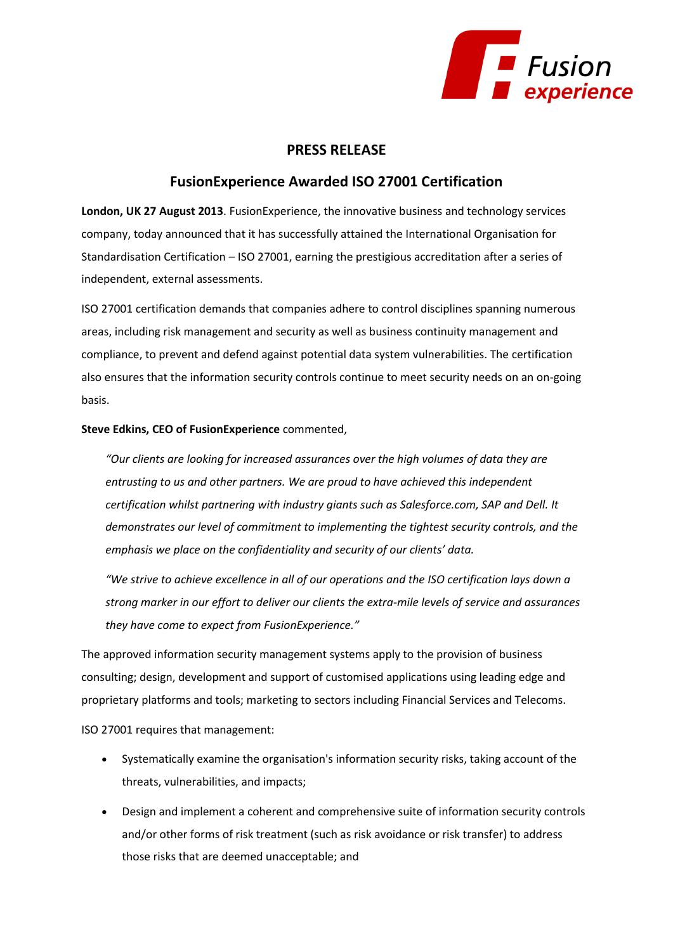

## **PRESS RELEASE**

## **FusionExperience Awarded ISO 27001 Certification**

**London, UK 27 August 2013**. FusionExperience, the innovative business and technology services company, today announced that it has successfully attained the International Organisation for Standardisation Certification – ISO 27001, earning the prestigious accreditation after a series of independent, external assessments.

ISO 27001 certification demands that companies adhere to control disciplines spanning numerous areas, including risk management and security as well as business continuity management and compliance, to prevent and defend against potential data system vulnerabilities. The certification also ensures that the information security controls continue to meet security needs on an on-going basis.

## **Steve Edkins, CEO of FusionExperience** commented,

*"Our clients are looking for increased assurances over the high volumes of data they are entrusting to us and other partners. We are proud to have achieved this independent certification whilst partnering with industry giants such as Salesforce.com, SAP and Dell. It demonstrates our level of commitment to implementing the tightest security controls, and the emphasis we place on the confidentiality and security of our clients' data.*

*"We strive to achieve excellence in all of our operations and the ISO certification lays down a strong marker in our effort to deliver our clients the extra-mile levels of service and assurances they have come to expect from FusionExperience."*

The approved information security management systems apply to the provision of business consulting; design, development and support of customised applications using leading edge and proprietary platforms and tools; marketing to sectors including Financial Services and Telecoms.

ISO 27001 requires that management:

- Systematically examine the organisation's information security risks, taking account of the threats, vulnerabilities, and impacts;
- Design and implement a coherent and comprehensive suite of information security controls and/or other forms of risk treatment (such as risk avoidance or risk transfer) to address those risks that are deemed unacceptable; and